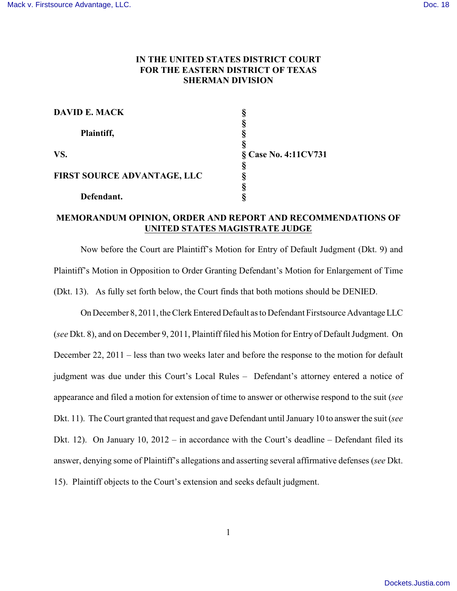## **IN THE UNITED STATES DISTRICT COURT FOR THE EASTERN DISTRICT OF TEXAS SHERMAN DIVISION**

| <b>DAVID E. MACK</b>               |                      |
|------------------------------------|----------------------|
|                                    |                      |
| Plaintiff,                         |                      |
|                                    |                      |
| VS.                                | § Case No. 4:11CV731 |
|                                    |                      |
| <b>FIRST SOURCE ADVANTAGE, LLC</b> |                      |
|                                    |                      |
| Defendant.                         |                      |

## **MEMORANDUM OPINION, ORDER AND REPORT AND RECOMMENDATIONS OF UNITED STATES MAGISTRATE JUDGE**

Now before the Court are Plaintiff's Motion for Entry of Default Judgment (Dkt. 9) and Plaintiff's Motion in Opposition to Order Granting Defendant's Motion for Enlargement of Time (Dkt. 13). As fully set forth below, the Court finds that both motions should be DENIED.

On December 8, 2011, the Clerk Entered Default as to Defendant Firstsource Advantage LLC (*see* Dkt. 8), and on December 9, 2011, Plaintiff filed his Motion for Entry of Default Judgment. On December 22, 2011 – less than two weeks later and before the response to the motion for default judgment was due under this Court's Local Rules – Defendant's attorney entered a notice of appearance and filed a motion for extension of time to answer or otherwise respond to the suit (*see* Dkt. 11). The Court granted that request and gave Defendant until January 10 to answer the suit (*see* Dkt. 12). On January 10, 2012 – in accordance with the Court's deadline – Defendant filed its answer, denying some of Plaintiff's allegations and asserting several affirmative defenses (*see* Dkt. 15). Plaintiff objects to the Court's extension and seeks default judgment.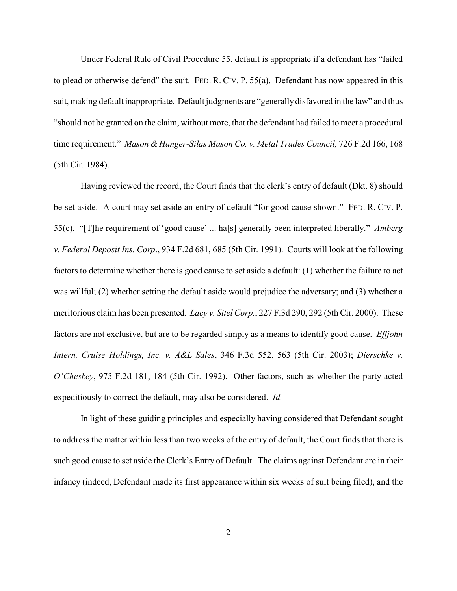Under Federal Rule of Civil Procedure 55, default is appropriate if a defendant has "failed to plead or otherwise defend" the suit. FED. R. CIV. P. 55(a). Defendant has now appeared in this suit, making default inappropriate. Default judgments are "generally disfavored in the law" and thus "should not be granted on the claim, without more, that the defendant had failed to meet a procedural time requirement." *Mason & Hanger-Silas Mason Co. v. Metal Trades Council,* 726 F.2d 166, 168 (5th Cir. 1984).

Having reviewed the record, the Court finds that the clerk's entry of default (Dkt. 8) should be set aside. A court may set aside an entry of default "for good cause shown." FED. R. CIV. P. 55(c). "[T]he requirement of 'good cause' ... ha[s] generally been interpreted liberally." *Amberg v. Federal Deposit Ins. Corp*., 934 F.2d 681, 685 (5th Cir. 1991). Courts will look at the following factors to determine whether there is good cause to set aside a default: (1) whether the failure to act was willful; (2) whether setting the default aside would prejudice the adversary; and (3) whether a meritorious claim has been presented. *Lacy v. Sitel Corp.*, 227 F.3d 290, 292 (5th Cir. 2000). These factors are not exclusive, but are to be regarded simply as a means to identify good cause. *Effjohn Intern. Cruise Holdings, Inc. v. A&L Sales*, 346 F.3d 552, 563 (5th Cir. 2003); *Dierschke v. O'Cheskey*, 975 F.2d 181, 184 (5th Cir. 1992). Other factors, such as whether the party acted expeditiously to correct the default, may also be considered. *Id.*

In light of these guiding principles and especially having considered that Defendant sought to address the matter within less than two weeks of the entry of default, the Court finds that there is such good cause to set aside the Clerk's Entry of Default. The claims against Defendant are in their infancy (indeed, Defendant made its first appearance within six weeks of suit being filed), and the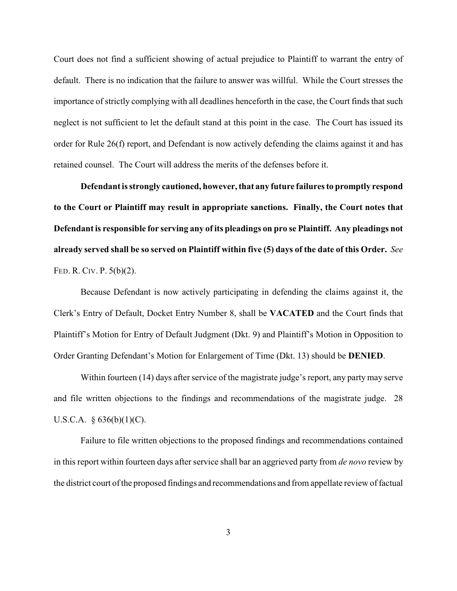Court does not find a sufficient showing of actual prejudice to Plaintiff to warrant the entry of default. There is no indication that the failure to answer was willful. While the Court stresses the importance of strictly complying with all deadlines henceforth in the case, the Court finds that such neglect is not sufficient to let the default stand at this point in the case. The Court has issued its order for Rule 26(f) report, and Defendant is now actively defending the claims against it and has retained counsel. The Court will address the merits of the defenses before it.

**Defendant is strongly cautioned, however, that any future failures to promptly respond to the Court or Plaintiff may result in appropriate sanctions. Finally, the Court notes that Defendant is responsible for serving any of its pleadings on pro se Plaintiff. Any pleadings not already served shall be so served on Plaintiff within five (5) days of the date of this Order.** *See* FED. R. CIV. P. 5(b)(2).

Because Defendant is now actively participating in defending the claims against it, the Clerk's Entry of Default, Docket Entry Number 8, shall be **VACATED** and the Court finds that Plaintiff's Motion for Entry of Default Judgment (Dkt. 9) and Plaintiff's Motion in Opposition to Order Granting Defendant's Motion for Enlargement of Time (Dkt. 13) should be **DENIED**.

Within fourteen (14) days after service of the magistrate judge's report, any party may serve and file written objections to the findings and recommendations of the magistrate judge. 28 U.S.C.A. § 636(b)(1)(C).

Failure to file written objections to the proposed findings and recommendations contained in this report within fourteen days after service shall bar an aggrieved party from *de novo* review by the district court of the proposed findings and recommendations and from appellate review of factual